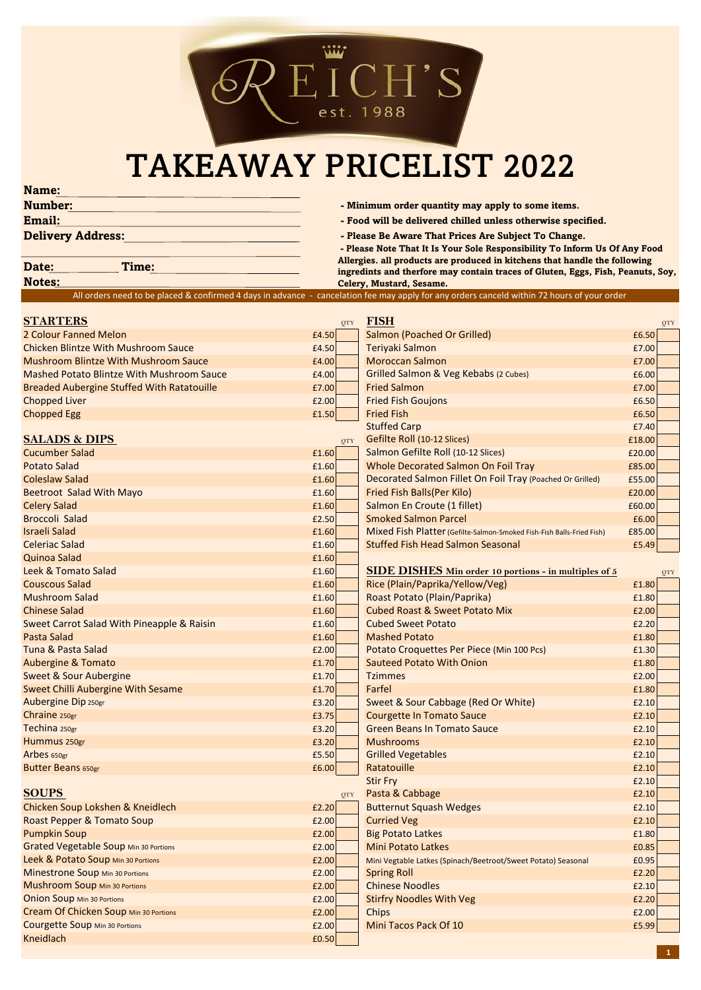

## TAKEAWAY PRICELIST 2022

**Name:**

| <b>Number:</b>           |  |
|--------------------------|--|
| <b>Email:</b>            |  |
| <b>Delivery Address:</b> |  |

**Kabber 1 Geome in the Minimum order quantity may apply to some items.** 

- **Email: Food will be delivered chilled unless otherwise specified.**
- Please Be Aware That Prices Are Subject To Change.

 **- Please Note That It Is Your Sole Responsibility To Inform Us Of Any Food Allergies. all products are produced in kitchens that handle the following ingredints and therfore may contain traces of Gluten, Eggs, Fish, Peanuts, Soy, Celery, Mustard, Sesame.**

## **Notes:**

**Date: Time:**

|                                                   |            | All orders need to be placed & confirmed 4 days in advance - cancelation fee may apply for any orders canceld within 72 hours of your order |        |
|---------------------------------------------------|------------|---------------------------------------------------------------------------------------------------------------------------------------------|--------|
| <b>STARTERS</b>                                   | QTY        | <b>FISH</b>                                                                                                                                 | QTY    |
| 2 Colour Fanned Melon                             | £4.50      | <b>Salmon (Poached Or Grilled)</b>                                                                                                          | £6.50  |
| <b>Chicken Blintze With Mushroom Sauce</b>        | £4.50      | Teriyaki Salmon                                                                                                                             | £7.00  |
| Mushroom Blintze With Mushroom Sauce              | £4.00      | <b>Moroccan Salmon</b>                                                                                                                      | £7.00  |
| Mashed Potato Blintze With Mushroom Sauce         | £4.00      | Grilled Salmon & Veg Kebabs (2 Cubes)                                                                                                       | £6.00  |
| <b>Breaded Aubergine Stuffed With Ratatouille</b> | £7.00      | <b>Fried Salmon</b>                                                                                                                         | £7.00  |
| <b>Chopped Liver</b>                              | £2.00      | <b>Fried Fish Goujons</b>                                                                                                                   | £6.50  |
| <b>Chopped Egg</b>                                | £1.50      | <b>Fried Fish</b>                                                                                                                           | £6.50  |
|                                                   |            | <b>Stuffed Carp</b>                                                                                                                         | £7.40  |
| <b>SALADS &amp; DIPS</b>                          | QTY        | Gefilte Roll (10-12 Slices)                                                                                                                 | £18.00 |
| <b>Cucumber Salad</b>                             | £1.60      | Salmon Gefilte Roll (10-12 Slices)                                                                                                          | £20.00 |
| <b>Potato Salad</b>                               | £1.60      | Whole Decorated Salmon On Foil Tray                                                                                                         | £85.00 |
| <b>Coleslaw Salad</b>                             | £1.60      | Decorated Salmon Fillet On Foil Tray (Poached Or Grilled)                                                                                   | £55.00 |
| Beetroot Salad With Mayo                          | £1.60      | Fried Fish Balls(Per Kilo)                                                                                                                  | £20.00 |
| <b>Celery Salad</b>                               | £1.60      | Salmon En Croute (1 fillet)                                                                                                                 | £60.00 |
| <b>Broccoli Salad</b>                             | £2.50      | <b>Smoked Salmon Parcel</b>                                                                                                                 | £6.00  |
| <b>Israeli Salad</b>                              | £1.60      | Mixed Fish Platter (Gefilte-Salmon-Smoked Fish-Fish Balls-Fried Fish)                                                                       | £85.00 |
| <b>Celeriac Salad</b>                             | £1.60      | <b>Stuffed Fish Head Salmon Seasonal</b>                                                                                                    | £5.49  |
| Quinoa Salad                                      | £1.60      |                                                                                                                                             |        |
| Leek & Tomato Salad                               | £1.60      | <b>SIDE DISHES Min order 10 portions - in multiples of 5</b>                                                                                | QTY    |
| <b>Couscous Salad</b>                             | £1.60      | Rice (Plain/Paprika/Yellow/Veg)                                                                                                             | £1.80  |
| <b>Mushroom Salad</b>                             | £1.60      | Roast Potato (Plain/Paprika)                                                                                                                | £1.80  |
| <b>Chinese Salad</b>                              | £1.60      | <b>Cubed Roast &amp; Sweet Potato Mix</b>                                                                                                   | £2.00  |
| Sweet Carrot Salad With Pineapple & Raisin        | £1.60      | <b>Cubed Sweet Potato</b>                                                                                                                   | £2.20  |
| Pasta Salad                                       | £1.60      | <b>Mashed Potato</b>                                                                                                                        | £1.80  |
| Tuna & Pasta Salad                                | £2.00      | Potato Croquettes Per Piece (Min 100 Pcs)                                                                                                   | £1.30  |
| <b>Aubergine &amp; Tomato</b>                     | £1.70      | <b>Sauteed Potato With Onion</b>                                                                                                            | £1.80  |
| Sweet & Sour Aubergine                            | £1.70      | <b>Tzimmes</b>                                                                                                                              | £2.00  |
| Sweet Chilli Aubergine With Sesame                | £1.70      | Farfel                                                                                                                                      | £1.80  |
| Aubergine Dip 250gr                               | £3.20      | Sweet & Sour Cabbage (Red Or White)                                                                                                         | £2.10  |
| Chraine 250gr                                     | £3.75      | <b>Courgette In Tomato Sauce</b>                                                                                                            | £2.10  |
| Techina 250gr                                     | £3.20      | <b>Green Beans In Tomato Sauce</b>                                                                                                          | £2.10  |
| Hummus 250gr                                      | £3.20      | <b>Mushrooms</b>                                                                                                                            | £2.10  |
| Arbes 650gr                                       | £5.50      | <b>Grilled Vegetables</b>                                                                                                                   | £2.10  |
| <b>Butter Beans 650gr</b>                         | £6.00      | Ratatouille                                                                                                                                 | £2.10  |
|                                                   |            | <b>Stir Fry</b>                                                                                                                             | £2.10  |
| <b>SOUPS</b>                                      | <b>OTY</b> | Pasta & Cabbage                                                                                                                             | £2.10  |
| Chicken Soup Lokshen & Kneidlech                  | £2.20      | <b>Butternut Squash Wedges</b>                                                                                                              | £2.10  |
| Roast Pepper & Tomato Soup                        | £2.00      | <b>Curried Veg</b>                                                                                                                          | £2.10  |
| <b>Pumpkin Soup</b>                               | £2.00      | <b>Big Potato Latkes</b>                                                                                                                    | £1.80  |
| <b>Grated Vegetable Soup Min 30 Portions</b>      | £2.00      | <b>Mini Potato Latkes</b>                                                                                                                   | £0.85  |
| Leek & Potato Soup Min 30 Portions                | £2.00      | Mini Vegtable Latkes (Spinach/Beetroot/Sweet Potato) Seasonal                                                                               | £0.95  |
| Minestrone Soup Min 30 Portions                   | £2.00      | <b>Spring Roll</b>                                                                                                                          | £2.20  |
| <b>Mushroom Soup Min 30 Portions</b>              | £2.00      | <b>Chinese Noodles</b>                                                                                                                      | £2.10  |
| <b>Onion Soup Min 30 Portions</b>                 | £2.00      | <b>Stirfry Noodles With Veg</b>                                                                                                             | £2.20  |
| Cream Of Chicken Soup Min 30 Portions             | £2.00      | Chips                                                                                                                                       | £2.00  |
| Courgette Soup Min 30 Portions                    | £2.00      | Mini Tacos Pack Of 10                                                                                                                       | £5.99  |
| Kneidlach                                         | £0.50      |                                                                                                                                             |        |